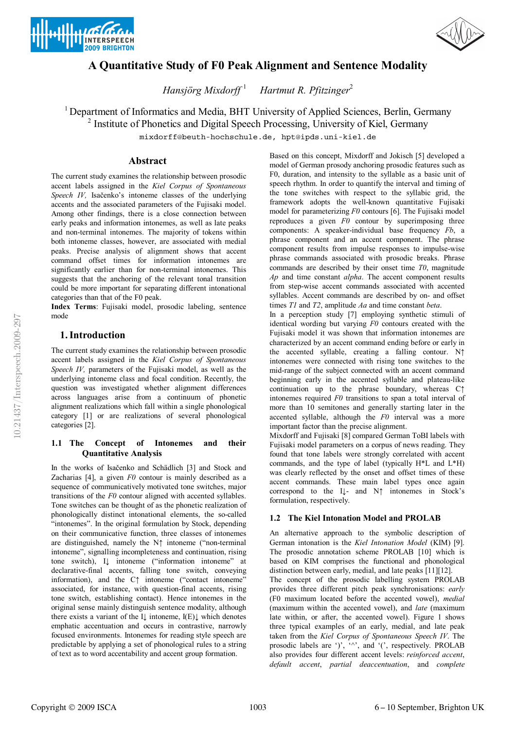



# **A Quantitative Study of F0 Peak Alignment and Sentence Modality**

*Hansjörg Mixdorff* <sup>1</sup> *Hartmut R. Pfitzinger*<sup>2</sup>

<sup>1</sup> Department of Informatics and Media, BHT University of Applied Sciences, Berlin, Germany

<sup>2</sup> Institute of Phonetics and Digital Speech Processing, University of Kiel, Germany

mixdorff@beuth-hochschule.de, hpt@ipds.uni-kiel.de

### **Abstract**

The current study examines the relationship between prosodic accent labels assigned in the *Kiel Corpus of Spontaneous Speech IV,* Isačenko's intoneme classes of the underlying accents and the associated parameters of the Fujisaki model. Among other findings, there is a close connection between early peaks and information intonemes, as well as late peaks and non-terminal intonemes. The majority of tokens within both intoneme classes, however, are associated with medial peaks. Precise analysis of alignment shows that accent command offset times for information intonemes are significantly earlier than for non-terminal intonemes. This suggests that the anchoring of the relevant tonal transition could be more important for separating different intonational categories than that of the F0 peak.

**Index Terms**: Fujisaki model, prosodic labeling, sentence mode

# **1.Introduction**

The current study examines the relationship between prosodic accent labels assigned in the *Kiel Corpus of Spontaneous Speech IV,* parameters of the Fujisaki model, as well as the underlying intoneme class and focal condition. Recently, the question was investigated whether alignment differences across languages arise from a continuum of phonetic alignment realizations which fall within a single phonological category [1] or are realizations of several phonological categories [2].

### **1.1 The Concept of Intonemes and their Quantitative Analysis**

In the works of Isačenko and Schädlich [3] and Stock and Zacharias [4], a given *F0* contour is mainly described as a sequence of communicatively motivated tone switches, major transitions of the *F0* contour aligned with accented syllables. Tone switches can be thought of as the phonetic realization of phonologically distinct intonational elements, the so-called "intonemes". In the original formulation by Stock, depending on their communicative function, three classes of intonemes are distinguished, namely the N↑ intoneme ("non-terminal intoneme", signalling incompleteness and continuation, rising tone switch), I↓ intoneme ("information intoneme" at declarative-final accents, falling tone switch, conveying information), and the C↑ intoneme ("contact intoneme" associated, for instance, with question-final accents, rising tone switch, establishing contact). Hence intonemes in the original sense mainly distinguish sentence modality, although there exists a variant of the I↓ intoneme, I(E)↓ which denotes emphatic accentuation and occurs in contrastive, narrowly focused environments. Intonemes for reading style speech are predictable by applying a set of phonological rules to a string of text as to word accentability and accent group formation.

Based on this concept, Mixdorff and Jokisch [5] developed a model of German prosody anchoring prosodic features such as F0, duration, and intensity to the syllable as a basic unit of speech rhythm. In order to quantify the interval and timing of the tone switches with respect to the syllabic grid, the framework adopts the well-known quantitative Fujisaki model for parameterizing *F0* contours [6]. The Fujisaki model reproduces a given *F0* contour by superimposing three components: A speaker-individual base frequency *Fb*, a phrase component and an accent component. The phrase component results from impulse responses to impulse-wise phrase commands associated with prosodic breaks. Phrase commands are described by their onset time *T0*, magnitude *Ap* and time constant *alpha*. The accent component results from step-wise accent commands associated with accented syllables. Accent commands are described by on- and offset times *T1* and *T2*, amplitude *Aa* and time constant *beta*.

In a perception study [7] employing synthetic stimuli of identical wording but varying *F0* contours created with the Fujisaki model it was shown that information intonemes are characterized by an accent command ending before or early in the accented syllable, creating a falling contour. N↑ intonemes were connected with rising tone switches to the mid-range of the subject connected with an accent command beginning early in the accented syllable and plateau-like continuation up to the phrase boundary, whereas C↑ intonemes required *F0* transitions to span a total interval of more than 10 semitones and generally starting later in the accented syllable, although the *F0* interval was a more important factor than the precise alignment.

Mixdorff and Fujisaki [8] compared German ToBI labels with Fujisaki model parameters on a corpus of news reading. They found that tone labels were strongly correlated with accent commands, and the type of label (typically H\*L and L\*H) was clearly reflected by the onset and offset times of these accent commands. These main label types once again correspond to the I↓- and N↑ intonemes in Stock's formulation, respectively.

# **1.2 The Kiel Intonation Model and PROLAB**

An alternative approach to the symbolic description of German intonation is the *Kiel Intonation Model* (KIM) [9]. The prosodic annotation scheme PROLAB [10] which is based on KIM comprises the functional and phonological distinction between early, medial, and late peaks [11][12]. The concept of the prosodic labelling system PROLAB provides three different pitch peak synchronisations: *early*  (F0 maximum located before the accented vowel), *medial*  (maximum within the accented vowel), and *late* (maximum late within, or after, the accented vowel). Figure 1 shows three typical examples of an early, medial, and late peak taken from the *Kiel Corpus of Spontaneous Speech IV*. The prosodic labels are ')',  $\lambda$ ', and '(', respectively. PROLAB also provides four different accent levels: *reinforced accent*, *default accent*, *partial deaccentuation*, and *complete*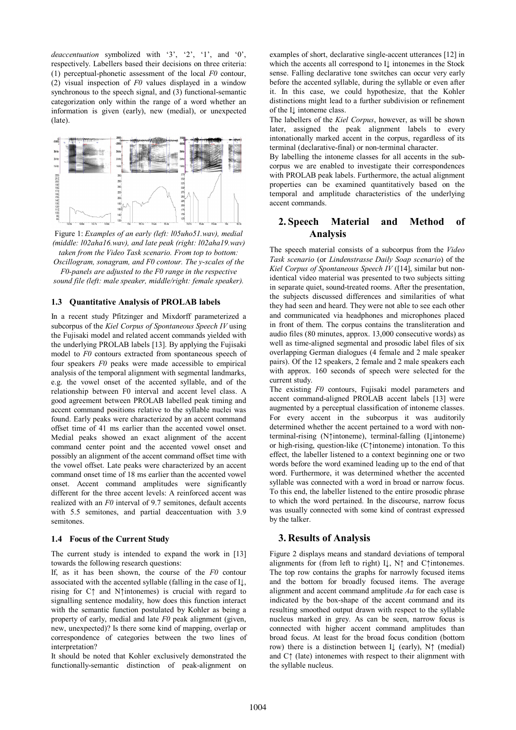*deaccentuation* symbolized with '3', '2', '1', and '0', respectively. Labellers based their decisions on three criteria: (1) perceptual-phonetic assessment of the local *F0* contour, (2) visual inspection of *F0* values displayed in a window synchronous to the speech signal, and (3) functional-semantic categorization only within the range of a word whether an information is given (early), new (medial), or unexpected (late).



Figure 1: *Examples of an early (left: l05uho51.wav), medial (middle: l02aha16.wav), and late peak (right: l02aha19.wav) taken from the Video Task scenario. From top to bottom: Oscillogram, sonagram, and F0 contour. The y-scales of the F0-panels are adjusted to the F0 range in the respective sound file (left: male speaker, middle/right: female speaker).* 

### **1.3 Quantitative Analysis of PROLAB labels**

In a recent study Pfitzinger and Mixdorff parameterized a subcorpus of the *Kiel Corpus of Spontaneous Speech IV* using the Fujisaki model and related accent commands yielded with the underlying PROLAB labels [13]. By applying the Fujisaki model to *F0* contours extracted from spontaneous speech of four speakers *F0* peaks were made accessible to empirical analysis of the temporal alignment with segmental landmarks, e.g. the vowel onset of the accented syllable, and of the relationship between F0 interval and accent level class. A good agreement between PROLAB labelled peak timing and accent command positions relative to the syllable nuclei was found. Early peaks were characterized by an accent command offset time of 41 ms earlier than the accented vowel onset. Medial peaks showed an exact alignment of the accent command center point and the accented vowel onset and possibly an alignment of the accent command offset time with the vowel offset. Late peaks were characterized by an accent command onset time of 18 ms earlier than the accented vowel onset. Accent command amplitudes were significantly different for the three accent levels: A reinforced accent was realized with an *F0* interval of 9.7 semitones, default accents with 5.5 semitones, and partial deaccentuation with 3.9 semitones.

#### **1.4 Focus of the Current Study**

The current study is intended to expand the work in [13] towards the following research questions:

If, as it has been shown, the course of the *F0* contour associated with the accented syllable (falling in the case of I↓, rising for C↑ and N↑intonemes) is crucial with regard to signalling sentence modality, how does this function interact with the semantic function postulated by Kohler as being a property of early, medial and late *F0* peak alignment (given, new, unexpected)? Is there some kind of mapping, overlap or correspondence of categories between the two lines of interpretation?

It should be noted that Kohler exclusively demonstrated the functionally-semantic distinction of peak-alignment on examples of short, declarative single-accent utterances [12] in which the accents all correspond to I↓ intonemes in the Stock sense. Falling declarative tone switches can occur very early before the accented syllable, during the syllable or even after it. In this case, we could hypothesize, that the Kohler distinctions might lead to a further subdivision or refinement of the I↓ intoneme class.

The labellers of the *Kiel Corpus*, however, as will be shown later, assigned the peak alignment labels to every intonationally marked accent in the corpus, regardless of its terminal (declarative-final) or non-terminal character.

By labelling the intoneme classes for all accents in the subcorpus we are enabled to investigate their correspondences with PROLAB peak labels. Furthermore, the actual alignment properties can be examined quantitatively based on the temporal and amplitude characteristics of the underlying accent commands.

# **2. Speech Material and Method of Analysis**

The speech material consists of a subcorpus from the *Video Task scenario* (or *Lindenstrasse Daily Soap scenario*) of the *Kiel Corpus of Spontaneous Speech IV* ([14], similar but nonidentical video material was presented to two subjects sitting in separate quiet, sound-treated rooms. After the presentation, the subjects discussed differences and similarities of what they had seen and heard. They were not able to see each other and communicated via headphones and microphones placed in front of them. The corpus contains the transliteration and audio files (80 minutes, approx. 13,000 consecutive words) as well as time-aligned segmental and prosodic label files of six overlapping German dialogues (4 female and 2 male speaker pairs). Of the 12 speakers, 2 female and 2 male speakers each with approx. 160 seconds of speech were selected for the current study.

The existing *F0* contours, Fujisaki model parameters and accent command-aligned PROLAB accent labels [13] were augmented by a perceptual classification of intoneme classes. For every accent in the subcorpus it was auditorily determined whether the accent pertained to a word with nonterminal-rising (N↑intoneme), terminal-falling (I↓intoneme) or high-rising, question-like (C↑intoneme) intonation. To this effect, the labeller listened to a context beginning one or two words before the word examined leading up to the end of that word. Furthermore, it was determined whether the accented syllable was connected with a word in broad or narrow focus. To this end, the labeller listened to the entire prosodic phrase to which the word pertained. In the discourse, narrow focus was usually connected with some kind of contrast expressed by the talker.

# **3. Results of Analysis**

Figure 2 displays means and standard deviations of temporal alignments for (from left to right) I↓, N↑ and C↑intonemes. The top row contains the graphs for narrowly focused items and the bottom for broadly focused items. The average alignment and accent command amplitude *Aa* for each case is indicated by the box-shape of the accent command and its resulting smoothed output drawn with respect to the syllable nucleus marked in grey. As can be seen, narrow focus is connected with higher accent command amplitudes than broad focus. At least for the broad focus condition (bottom row) there is a distinction between I↓ (early), N↑ (medial) and  $C<sup>†</sup>$  (late) intonemes with respect to their alignment with the syllable nucleus.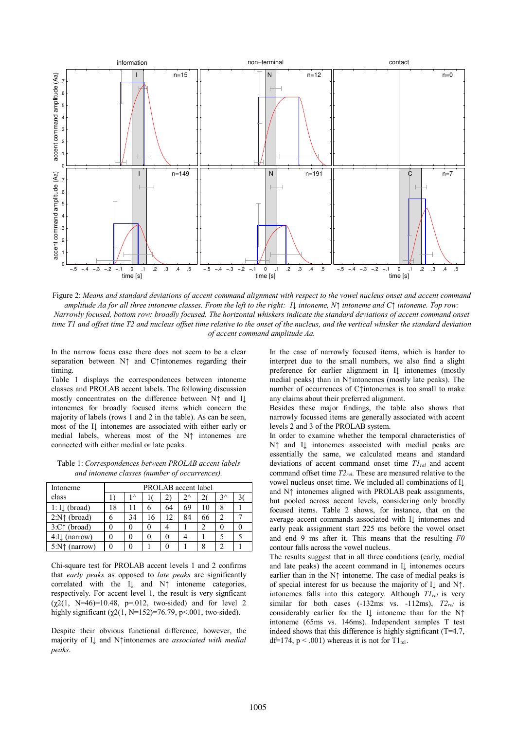

Figure 2: *Means and standard deviations of accent command alignment with respect to the vowel nucleus onset and accent command amplitude Aa for all three intoneme classes. From the left to the right: I↓ intoneme, N↑ intoneme and C↑ intoneme. Top row: Narrowly focused, bottom row: broadly focused. The horizontal whiskers indicate the standard deviations of accent command onset time T1 and offset time T2 and nucleus offset time relative to the onset of the nucleus, and the vertical whisker the standard deviation of accent command amplitude Aa.* 

In the narrow focus case there does not seem to be a clear separation between N↑ and C↑intonemes regarding their timing.

Table 1 displays the correspondences between intoneme classes and PROLAB accent labels. The following discussion mostly concentrates on the difference between N↑ and I↓ intonemes for broadly focused items which concern the majority of labels (rows 1 and 2 in the table). As can be seen, most of the I↓ intonemes are associated with either early or medial labels, whereas most of the N↑ intonemes are connected with either medial or late peaks.

Table 1: *Correspondences between PROLAB accent labels and intoneme classes (number of occurrences).* 

| Intoneme                  | PROLAB accent label |            |    |                              |              |    |              |  |
|---------------------------|---------------------|------------|----|------------------------------|--------------|----|--------------|--|
| class                     |                     | 1 $\wedge$ |    | $\left( \frac{1}{2} \right)$ | $2^{\wedge}$ |    | $3^{\wedge}$ |  |
| $1: I\downarrow$ (broad)  | 18                  |            | h  | 64                           | 69           | 10 |              |  |
| $2:N†$ (broad)            |                     | 34         | 16 | 12                           | 84           | 66 |              |  |
| $3:$ C $\uparrow$ (broad) |                     |            |    |                              |              |    |              |  |
| $4:1\downarrow$ (narrow)  |                     |            |    | 0                            |              |    |              |  |
| $5:N\uparrow$ (narrow)    |                     |            |    |                              |              |    |              |  |

Chi-square test for PROLAB accent levels 1 and 2 confirms that *early peaks* as opposed to *late peaks* are significantly correlated with the I↓ and N↑ intoneme categories, respectively. For accent level 1, the result is very signficant  $(\gamma 2(1, N=46)=10.48, p=.012, two-sided)$  and for level 2 highly significant ( $χ2(1, N=152)=76.79$ , p<.001, two-sided).

Despite their obvious functional difference, however, the majority of I↓ and N↑intonemes are *associated with medial peaks*.

In the case of narrowly focused items, which is harder to interpret due to the small numbers, we also find a slight preference for earlier alignment in I↓ intonemes (mostly medial peaks) than in N↑intonemes (mostly late peaks). The number of occurrences of C↑intonemes is too small to make any claims about their preferred alignment.

Besides these major findings, the table also shows that narrowly focussed items are generally associated with accent levels 2 and 3 of the PROLAB system.

In order to examine whether the temporal characteristics of N↑ and I↓ intonemes associated with medial peaks are essentially the same, we calculated means and standard deviations of accent command onset time *T1rel* and accent command offset time *T2rel*. These are measured relative to the vowel nucleus onset time. We included all combinations of I↓ and N↑ intonemes aligned with PROLAB peak assignments, but pooled across accent levels, considering only broadly focused items. Table 2 shows, for instance, that on the average accent commands associated with I↓ intonemes and early peak assignment start 225 ms before the vowel onset and end 9 ms after it. This means that the resulting *F0* contour falls across the vowel nucleus.

The results suggest that in all three conditions (early, medial and late peaks) the accent command in I↓ intonemes occurs earlier than in the N↑ intoneme. The case of medial peaks is of special interest for us because the majority of I↓ and N↑. intonemes falls into this category. Although *T1rel* is very similar for both cases (-132ms vs. -112ms), *T2rel* is considerably earlier for the I↓ intoneme than for the N↑ intoneme (65ms vs. 146ms). Independent samples T test indeed shows that this difference is highly significant (T=4.7, df=174,  $p < .001$ ) whereas it is not for  $T1_{rel}$ .